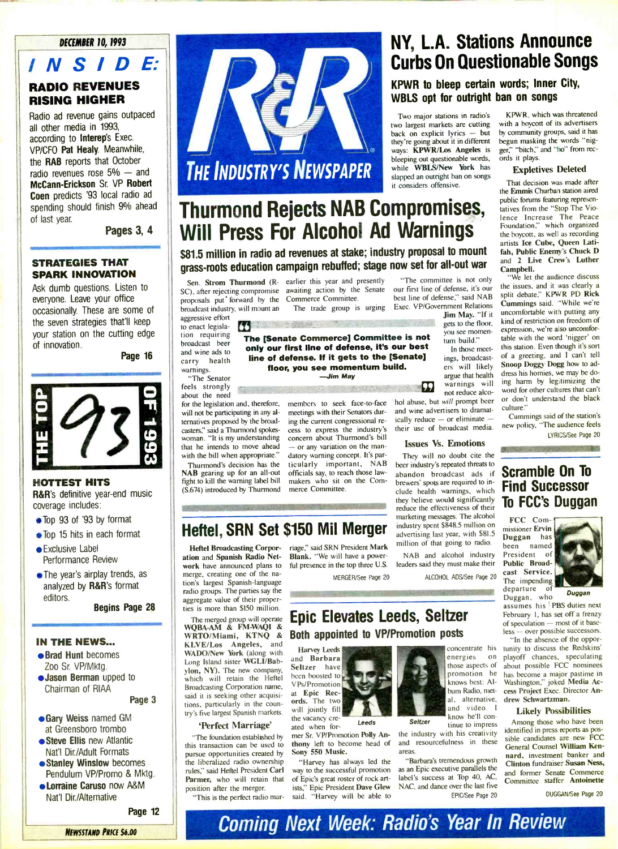# INSIDE: RADIO REVENUES RISING HIGHER

Radio ad revenue gains outpaced all other media in 1993, according to Interep's Exec. VP/CFO Pat Healy. Meanwhile, the RAB reports that October radio revenues rose  $5% -$  and McCann -Erickson Sr. VP Robert Coen predicts '93 local radio ad spending should finish 9% ahead of last year.

Pages 3, 4

### STRATEGIES THAT SPARK INNOVATION

Ask dumb questions. Listen to everyone. Leave your office occasionally. These are some of the seven strategies that'll keep your station on the cutting edge of innovation.

Page 16



#### **HOTTEST HITS**

R&R's definitive vear-end music coverage includes:

- Top 93 of '93 by format
- Top 15 hits in each format
- Exclusive Label Performance Review
- The year's airplay trends, as  $\sigma$  years an play treated, as analyzed by R&R's format<br>editors.

Begins Page 28

## $\blacksquare$ Brad Hunt becomes the company of the company of the company of the company of the company of the company of the company of the company of the company of the company of the company of the company of the company of the compa

- Brad Hunt becomes Zoo Sr. VP/Mktg.
- **Jason Berman** upped to<br>Chairman of RIAA

\*Gary Weiss named GM

Page 3

- **. Gary Weiss named GM** at Greensboro trombo
- Steve Ellis new Atlantic Nat'l Dir./Adult Formats
- **Stanley Winslow becomes** Pendulum VP/Promo & Mktg.
- Lorraine Caruso now A&M Nat'l Dir./Alternative Page 12

Page 12



# THE INDUSTRY'S NEWSPAPER slapped an outright ban on songs it considers offensive.

# Thurmond Rejects NAB Compromises, Will Press For Alcohol Ad Warnings

\$81.5 million in radio ad revenues at stake; industry proposal to mount grass -roots education campaign rebuffed; stage now set for all -out war

proposals put' forward by the broadcast industry, will mount an aggressive effort to enact legisla-

tion requiring broadcast beer and wine ads to carry health warnings. migo.<br>The Senator

 $\frac{1}{10}$  strongly  $\frac{1}{100}$  $\frac{1}{2}$  and  $\frac{1}{2}$ 

about the need<br>for the legislation and, therefore, will not be participating in any alternatives proposed by the broadcaster is a Thurmond spokeswoman. Said a Thurriton of Spokes-cess  $t_{\text{th}}$  and  $t_{\text{th}}$  intends to move ahead The one when appropriate.  $\frac{0}{400}$ 

Thurmond's decision has the  $\tau$  ticul NAB gearing up for an all-out fight to kill the warning label bill makers who sit c (S.674) introduced by Thurmond merce Committee.

 $\mathbf{H}$ Heftel Broadcasting Corporation and Spanish Radio Network have announced plans to merge, creating one of the nation's largest Spanish-language radio groups. The parties say the aggregate value of their proper-<br>ties is more than \$150 million.

KLVE/Los Angeles, and WADO/New York (along with Long Island sister WGLI/Babylon, NY). The new company, which will retain the Heftel Broadcasting Corporation name, said it is seeking other acquisitions, particularly in the country's five largest Spanish markets. 'Perfect Marriage' "The foundation established by this transaction can be used to pursue opportunities created by the liberalized radio ownership rules," said Heftel President Carl Parmer, who will retain that

Hertel, SRN Set \$150 Mil Merger

<u>the company of any other product of the second company</u>

en. **Strom Thurmond** (R- earlier this year and presently SCII, Strom Tharmond (it senses and grid by the Senate our Commerce Committee.

WWW.ComercialSoci

Erj 444t The [Senate Commerce] Committee is not only our first line of defense, it's our best line of defense. If it gets to the [Senate] floor van see momentum build.<br>Loor van see momentum build. e momentun<br>-Jim May

that he intends to move ahead  $-$  or any variation on the manwith the bill when appropriate." datory warning concept. It's parmembers to seek face-to-face meetings with their Senators during the current congressional re cess to express the industry's concern about Thurmond's bill datory warning concept. It's par-<br>ticularly important, NAB officials say, to reach those lawmakers who sit on the Com-

age," said SRN President Mark

**STATISTICS** 

#### The trade group is urging Exec. VP/Government Relations Cur "The committee is not only our first line of defense, it's our best line of defense," said NAB Jim May. "If it

NY, L.A. Stations Announce

Curbs On Questionable Songs

KPWR, which was threatened with a boycott of its advertisers by community groups, said it has begun masking the words "nigger," "bitch," and "ho" from rec-

Expletives Deleted That decision was made after the Fmmis Churbar station aired public forums featuring representatives from the "Stop The Violence Increase The Peace Foundation," which organized the boycott, as well as recording artists Ice Cube, Queen Latifah, Public Enemy's Chuck D and 2 Live Crew's Luther

"We let the audience discuss the issues, and it was clearly a split debate;" KPWR PD Rick Cummings said. "While we're uncomfortable with putting any kind of restriction on freedom of expression, we're also uncomfortable with the word 'nigger' on this station. Even though it's sort of a greeting, and I can't tell Snoop Doggy Dogg how to address his homies, we may be doing harm by legitimizing the word for other cultures that can't word for outer cultures that can't

ords it plays.

Campbell.

or don't under<br>""

culture."<br>Cummings said of the station's

Scramble On To Find Successor

To FCC's Duggan

 $\overline{c}$  $\text{FCC}$  Com-

LYRICS/See Page 20

KPWR to bleep certain words; Inner City,

WBLS opt for outright ban on songs

Two major stations in radio's two largest markets are cutting  $back on explicit lyrics - but$ they're going about it in different ways: KPWR/Los Angeles is leeping out questionable words, ord while WBLS/New York has

> gets to the floor, you see momen-<br>tum build." In those meetings, broadcast-<br>ers will likely

 $\frac{1}{2}$  argue that health  $\frac{1}{2}$  dress  $\frac{1}{2}$ warnings will  $\frac{1}{2}$   $\frac{1}{2}$ 

warnings will<br>not reduce alcohol abuse, but will prompt beer  $\frac{1}{2}$  and wine advertisers to dramat-<br>cally reduce  $\frac{1}{2}$  or eliminate  $\frac{1}{2}$  Cummings ically reduce  $-$  or eliminate  $-$  Cummings said of the stations their use of broadcast media. new policy, "The audience feels <u>Mite</u>

# Issues Vs. Emotions

They will no doubt cite the between the double chemical species to beer industry's repeated threats to<br>abandon broadcast ads if brewers' spots are required to inrewers spots are required to  $n = \mathbf{F}$  $\frac{1}{2}$  believe would significantly  $\frac{1}{2}$ they believe would significantly<br>reduce the effectiveness of their marketing messages. The alcohol industriang messages. The alcohol  $max$  madustry spent  $5848.5$  million on  $max$ advertising last year, with \$81.5 million of that going to radio. image, said SRN President Mark

NAB and alcohol industry **Blank.** "We will have a power-<br>ful presence in the top three U.S. leaders said they must make their

ALCOHOL ADS/See Page 20

#### IS MOTE WILL SEPTEMBER  $\mathbb{F}_{\mathbf{m}}$ The merged group will operate  $\Box$  $WQBA-AM & FM-WAQI & \bullet$ WRTO/Miami, KTNQ & Epic Elevates Leeds, Seltzer Both appointed to VP/Promotion posts

Harvey Leeds **Harvey Leeds** and Barbara Seltzer have been boosted to VPs/Promotion at Epic Records. The two will jointly fill the vacancy cre-

ated when for-<br>Leeds thony left to become head of

"Harvey has always led the way to the successful promotion of Epic's great roster of rock artists." Epic President Dave Glew said. "Harvey will be able to

mer Sr. VP/Promotion Polly An- the industry with his creativity Sony 550 Music.<br>
"Harvey has always led the "Barbara's tremendous growth" and resourcefulness in these

as an Epic executive parallels the label's success at Top 40, AC, NAC, and dance over the last five EPIC/See Page 20



assumes his PBS duties next February 1, has set off a frenzy of speculation - most of it baseless - over possible successors.

**Duggang** 

concentrate historical concentration of the concentration of the concentration of the concentration of the concentration of the concentration of the concentration of the concentration of the concentration of the concentrat "In the absence of the opportunity to discuss the Redskins' playoff chances, speculating about possible FCC nominees has become a major pastime in Washington," joked Media Access Project Exec. Director Andrew Schwartzman.

#### **Likely Possibilities**

Among those who have been identified in press reports as possible candidates are new FCC General Counsel William Kennard, investment banker and Clinton fundraiser Susan Ness, and former Senate Commerce Committee staffer Antoinette

DUGGAN/See Page 20



position after the merger. "This is the perfect radio mar-

NEWSSTAND PRICE \$6.00

ful presence in the top three U.S.<br>MERGER/See Page 20 **CONTRACTOR** CONTRACTORS AND THE PROPERTY OF THE PARTY OF THE PROPERTY OF THE PROPERTY OF THE PARTY OF THE PROPERTY OF THE PARTY OF THE PARTY OF THE PARTY OF THE PARTY OF THE PARTY OF THE PARTY OF THE PARTY OF THE PARTY OF